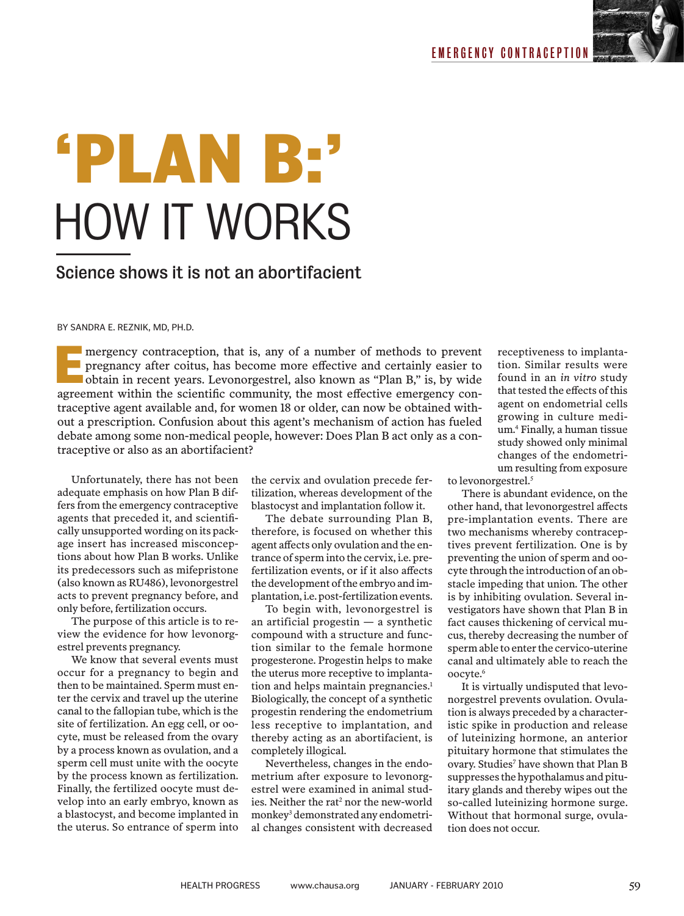

## **'PLAN B:'** HOW IT WORKS

### Science shows it is not an abortifacient

BY SANDRA E. REZNIK, MD, PH.D.

mergency contraception, that is, any of a number of methods to prevent pregnancy after coitus, has become more effective and certainly easier to obtain in recent years. Levonorgestrel, also known as "Plan B," is, by wide agreement within the scientific community, the most effective emergency con-<br>agreement within the scientific community, the most effective emergency con-<br>agreement within the scientific community, the most effective emerge traceptive agent available and, for women 18 or older, can now be obtained without a prescription. Confusion about this agent's mechanism of action has fueled debate among some non-medical people, however: Does Plan B act only as a contraceptive or also as an abortifacient?

Unfortunately, there has not been adequate emphasis on how Plan B differs from the emergency contraceptive agents that preceded it, and scientifically unsupported wording on its package insert has increased misconceptions about how Plan B works. Unlike its predecessors such as mifepristone (also known as RU486), levonorgestrel acts to prevent pregnancy before, and only before, fertilization occurs.

The purpose of this article is to review the evidence for how levonorgestrel prevents pregnancy.

We know that several events must occur for a pregnancy to begin and then to be maintained. Sperm must enter the cervix and travel up the uterine canal to the fallopian tube, which is the site of fertilization. An egg cell, or oocyte, must be released from the ovary by a process known as ovulation, and a sperm cell must unite with the oocyte by the process known as fertilization. Finally, the fertilized oocyte must develop into an early embryo, known as a blastocyst, and become implanted in the uterus. So entrance of sperm into

the cervix and ovulation precede fertilization, whereas development of the blastocyst and implantation follow it.

The debate surrounding Plan B, therefore, is focused on whether this agent affects only ovulation and the entrance of sperm into the cervix, i.e. prefertilization events, or if it also affects the development of the embryo and implantation, i.e. post-fertilization events.

To begin with, levonorgestrel is an artificial progestin — a synthetic compound with a structure and function similar to the female hormone progesterone. Progestin helps to make the uterus more receptive to implantation and helps maintain pregnancies.<sup>1</sup> Biologically, the concept of a synthetic progestin rendering the endometrium less receptive to implantation, and thereby acting as an abortifacient, is completely illogical.

Nevertheless, changes in the endometrium after exposure to levonorgestrel were examined in animal studies. Neither the rat<sup>2</sup> nor the new-world monkey<sup>3</sup> demonstrated any endometrial changes consistent with decreased

receptiveness to implantation. Similar results were found in an *in vitro* study that tested the effects of this agent on endometrial cells growing in culture medium.4 Finally, a human tissue study showed only minimal changes of the endometrium resulting from exposure

to levonorgestrel.<sup>5</sup>

There is abundant evidence, on the other hand, that levonorgestrel affects pre-implantation events. There are two mechanisms whereby contraceptives prevent fertilization. One is by preventing the union of sperm and oocyte through the introduction of an obstacle impeding that union. The other is by inhibiting ovulation. Several investigators have shown that Plan B in fact causes thickening of cervical mucus, thereby decreasing the number of sperm able to enter the cervico-uterine canal and ultimately able to reach the oocyte.6

It is virtually undisputed that levonorgestrel prevents ovulation. Ovulation is always preceded by a characteristic spike in production and release of luteinizing hormone, an anterior pituitary hormone that stimulates the ovary. Studies<sup>7</sup> have shown that Plan B suppresses the hypothalamus and pituitary glands and thereby wipes out the so-called luteinizing hormone surge. Without that hormonal surge, ovulation does not occur.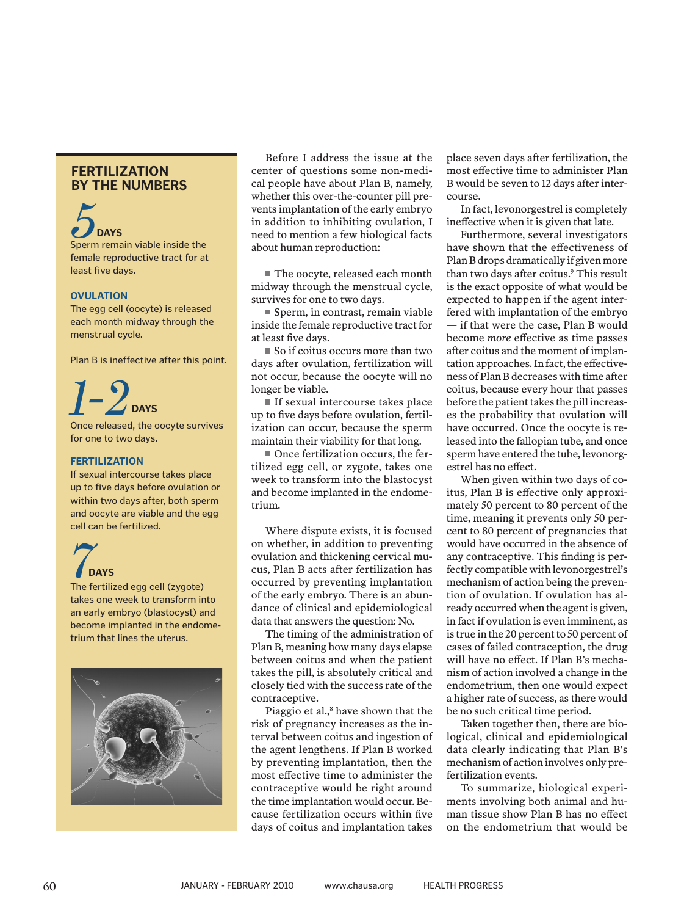#### **FERTILIZATION BY THE NUMBERS**

## **5**<br>Sperm remain viable inside the **DAYS**

female reproductive tract for at least five days.

#### **OVULATION**

The egg cell (oocyte) is released each month midway through the menstrual cycle.

Plan B is ineffective after this point.

### *1-2* **DAYS**

Once released, the oocyte survives for one to two days.

#### **FERTILIZATION**

If sexual intercourse takes place up to five days before ovulation or within two days after, both sperm and oocyte are viable and the egg cell can be fertilized.



takes one week to transform into an early embryo (blastocyst) and become implanted in the endometrium that lines the uterus.



Before I address the issue at the center of questions some non-medical people have about Plan B, namely, whether this over-the-counter pill prevents implantation of the early embryo in addition to inhibiting ovulation, I need to mention a few biological facts about human reproduction:

The oocyte, released each month midway through the menstrual cycle, survives for one to two days.

Sperm, in contrast, remain viable inside the female reproductive tract for at least five days.

 $\blacksquare$  So if coitus occurs more than two days after ovulation, fertilization will not occur, because the oocyte will no longer be viable.

■ If sexual intercourse takes place up to five days before ovulation, fertilization can occur, because the sperm maintain their viability for that long.

Once fertilization occurs, the fertilized egg cell, or zygote, takes one week to transform into the blastocyst and become implanted in the endometrium.

Where dispute exists, it is focused on whether, in addition to preventing ovulation and thickening cervical mucus, Plan B acts after fertilization has occurred by preventing implantation of the early embryo. There is an abundance of clinical and epidemiological data that answers the question: No.

The timing of the administration of Plan B, meaning how many days elapse between coitus and when the patient takes the pill, is absolutely critical and closely tied with the success rate of the contraceptive.

Piaggio et al.,<sup>8</sup> have shown that the risk of pregnancy increases as the interval between coitus and ingestion of the agent lengthens. If Plan B worked by preventing implantation, then the most effective time to administer the contraceptive would be right around the time implantation would occur. Because fertilization occurs within five days of coitus and implantation takes

place seven days after fertilization, the most effective time to administer Plan B would be seven to 12 days after intercourse.

In fact, levonorgestrel is completely ineffective when it is given that late.

Furthermore, several investigators have shown that the effectiveness of Plan B drops dramatically if given more than two days after coitus.9 This result is the exact opposite of what would be expected to happen if the agent interfered with implantation of the embryo — if that were the case, Plan B would become *more* effective as time passes after coitus and the moment of implantation approaches. In fact, the effectiveness of Plan B decreases with time after coitus, because every hour that passes before the patient takes the pill increases the probability that ovulation will have occurred. Once the oocyte is released into the fallopian tube, and once sperm have entered the tube, levonorgestrel has no effect.

When given within two days of coitus, Plan B is effective only approximately 50 percent to 80 percent of the time, meaning it prevents only 50 percent to 80 percent of pregnancies that would have occurred in the absence of any contraceptive. This finding is perfectly compatible with levonorgestrel's mechanism of action being the prevention of ovulation. If ovulation has already occurred when the agent is given, in fact if ovulation is even imminent, as is true in the 20 percent to 50 percent of cases of failed contraception, the drug will have no effect. If Plan B's mechanism of action involved a change in the endometrium, then one would expect a higher rate of success, as there would be no such critical time period.

Taken together then, there are biological, clinical and epidemiological data clearly indicating that Plan B's mechanism of action involves only prefertilization events.

To summarize, biological experiments involving both animal and human tissue show Plan B has no effect on the endometrium that would be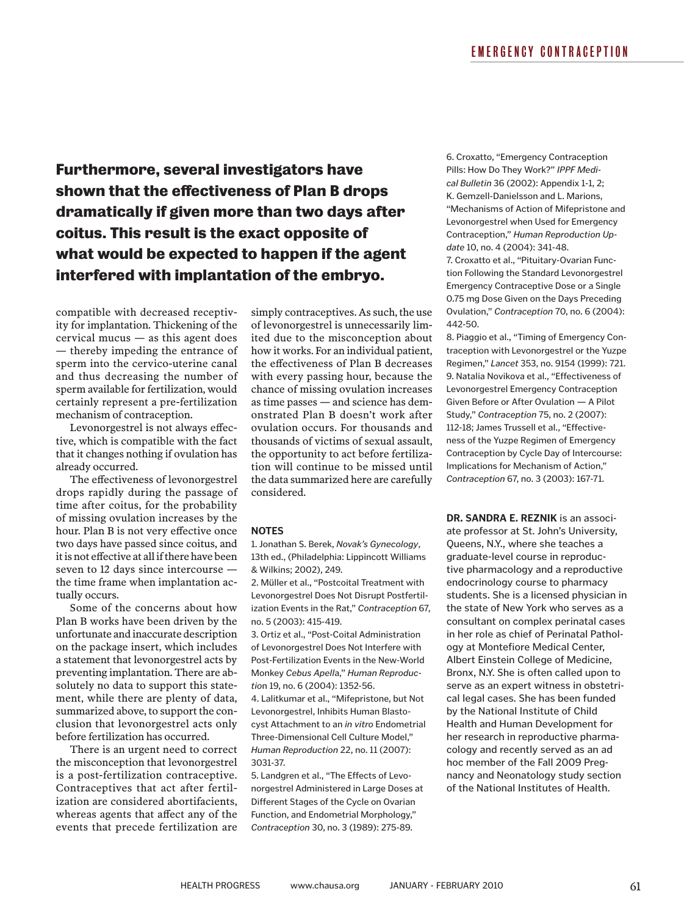**Furthermore, several investigators have shown that the effectiveness of Plan B drops dramatically if given more than two days after coitus. This result is the exact opposite of what would be expected to happen if the agent interfered with implantation of the embryo.**

compatible with decreased receptivity for implantation. Thickening of the cervical mucus — as this agent does — thereby impeding the entrance of sperm into the cervico-uterine canal and thus decreasing the number of sperm available for fertilization, would certainly represent a pre-fertilization mechanism of contraception.

Levonorgestrel is not always effective, which is compatible with the fact that it changes nothing if ovulation has already occurred.

The effectiveness of levonorgestrel drops rapidly during the passage of time after coitus, for the probability of missing ovulation increases by the hour. Plan B is not very effective once two days have passed since coitus, and it is not effective at all if there have been seven to 12 days since intercourse the time frame when implantation actually occurs.

Some of the concerns about how Plan B works have been driven by the unfortunate and inaccurate description on the package insert, which includes a statement that levonorgestrel acts by preventing implantation. There are absolutely no data to support this statement, while there are plenty of data, summarized above, to support the conclusion that levonorgestrel acts only before fertilization has occurred.

There is an urgent need to correct the misconception that levonorgestrel is a post-fertilization contraceptive. Contraceptives that act after fertilization are considered abortifacients, whereas agents that affect any of the events that precede fertilization are

simply contraceptives. As such, the use of levonorgestrel is unnecessarily limited due to the misconception about how it works. For an individual patient, the effectiveness of Plan B decreases with every passing hour, because the chance of missing ovulation increases as time passes — and science has demonstrated Plan B doesn't work after ovulation occurs. For thousands and thousands of victims of sexual assault, the opportunity to act before fertilization will continue to be missed until the data summarized here are carefully considered.

#### **NOTES**

1. Jonathan S. Berek, *Novak's Gynecology*, 13th ed., (Philadelphia: Lippincott Williams & Wilkins; 2002), 249.

2. Müller et al., "Postcoital Treatment with Levonorgestrel Does Not Disrupt Postfertilization Events in the Rat," *Contraception* 67, no. 5 (2003): 415-419.

3. Ortiz et al., "Post-Coital Administration of Levonorgestrel Does Not Interfere with Post-Fertilization Events in the New-World Monkey *Cebus Apell*a," *Human Reproductio*n 19, no. 6 (2004): 1352-56.

4. Lalitkumar et al., "Mifepristone, but Not Levonorgestrel, Inhibits Human Blastocyst Attachment to an *in vitro* Endometrial Three-Dimensional Cell Culture Model," *Human Reproduction* 22, no. 11 (2007): 3031-37.

5. Landgren et al., "The Effects of Levonorgestrel Administered in Large Doses at Different Stages of the Cycle on Ovarian Function, and Endometrial Morphology," *Contraception* 30, no. 3 (1989): 275-89.

6. Croxatto, "Emergency Contraception Pills: How Do They Work?" *IPPF Medical Bulletin* 36 (2002): Appendix 1-1, 2; K. Gemzell-Danielsson and L. Marions, "Mechanisms of Action of Mifepristone and Levonorgestrel when Used for Emergency Contraception," *Human Reproduction Update* 10, no. 4 (2004): 341-48.

7. Croxatto et al., "Pituitary-Ovarian Function Following the Standard Levonorgestrel Emergency Contraceptive Dose or a Single 0.75 mg Dose Given on the Days Preceding Ovulation," *Contraception* 70, no. 6 (2004): 442-50.

8. Piaggio et al., "Timing of Emergency Contraception with Levonorgestrel or the Yuzpe Regimen," *Lancet* 353, no. 9154 (1999): 721. 9. Natalia Novikova et al., "Effectiveness of Levonorgestrel Emergency Contraception Given Before or After Ovulation — A Pilot Study," *Contraception* 75, no. 2 (2007): 112-18; James Trussell et al., "Effectiveness of the Yuzpe Regimen of Emergency Contraception by Cycle Day of Intercourse: Implications for Mechanism of Action," *Contraception* 67, no. 3 (2003): 167-71.

**DR. SANDRA E. REZNIK** is an associate professor at St. John's University, Queens, N.Y., where she teaches a graduate-level course in reproductive pharmacology and a reproductive endocrinology course to pharmacy students. She is a licensed physician in the state of New York who serves as a consultant on complex perinatal cases in her role as chief of Perinatal Pathology at Montefiore Medical Center, Albert Einstein College of Medicine, Bronx, N.Y. She is often called upon to serve as an expert witness in obstetrical legal cases. She has been funded by the National Institute of Child Health and Human Development for her research in reproductive pharmacology and recently served as an ad hoc member of the Fall 2009 Pregnancy and Neonatology study section of the National Institutes of Health.